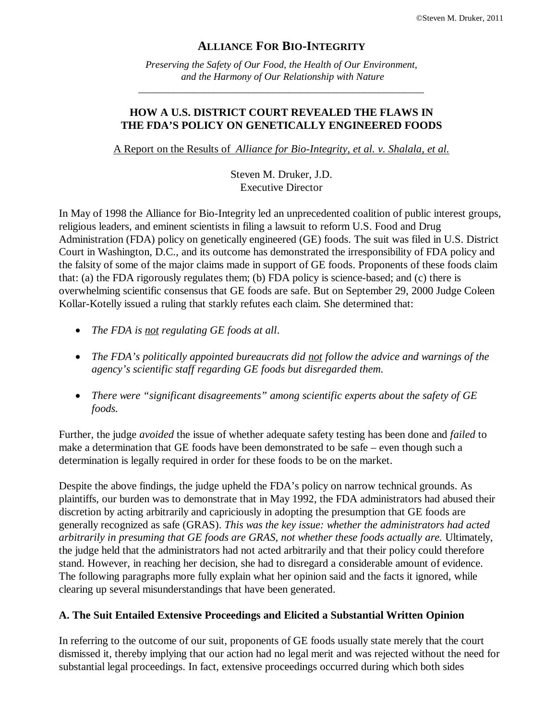### **ALLIANCE FOR BIO-INTEGRITY**

*Preserving the Safety of Our Food, the Health of Our Environment, and the Harmony of Our Relationship with Nature*

*\_\_\_\_\_\_\_\_\_\_\_\_\_\_\_\_\_\_\_\_\_\_\_\_\_\_\_\_\_\_\_\_\_\_\_\_\_\_\_\_\_\_\_\_\_\_\_\_\_\_\_\_\_\_\_\_\_*

#### **HOW A U.S. DISTRICT COURT REVEALED THE FLAWS IN THE FDA'S POLICY ON GENETICALLY ENGINEERED FOODS**

A Report on the Results of *Alliance for Bio-Integrity, et al. v. Shalala, et al.*

Steven M. Druker, J.D. Executive Director

In May of 1998 the Alliance for Bio-Integrity led an unprecedented coalition of public interest groups, religious leaders, and eminent scientists in filing a lawsuit to reform U.S. Food and Drug Administration (FDA) policy on genetically engineered (GE) foods. The suit was filed in U.S. District Court in Washington, D.C., and its outcome has demonstrated the irresponsibility of FDA policy and the falsity of some of the major claims made in support of GE foods. Proponents of these foods claim that: (a) the FDA rigorously regulates them; (b) FDA policy is science-based; and (c) there is overwhelming scientific consensus that GE foods are safe. But on September 29, 2000 Judge Coleen Kollar-Kotelly issued a ruling that starkly refutes each claim. She determined that:

- *The FDA is not regulating GE foods at all*.
- *The FDA's politically appointed bureaucrats did not follow the advice and warnings of the agency's scientific staff regarding GE foods but disregarded them.*
- *There were "significant disagreements" among scientific experts about the safety of GE foods.*

Further, the judge *avoided* the issue of whether adequate safety testing has been done and *failed* to make a determination that GE foods have been demonstrated to be safe – even though such a determination is legally required in order for these foods to be on the market.

Despite the above findings, the judge upheld the FDA's policy on narrow technical grounds. As plaintiffs, our burden was to demonstrate that in May 1992, the FDA administrators had abused their discretion by acting arbitrarily and capriciously in adopting the presumption that GE foods are generally recognized as safe (GRAS). *This was the key issue: whether the administrators had acted arbitrarily in presuming that GE foods are GRAS, not whether these foods actually are.* Ultimately, the judge held that the administrators had not acted arbitrarily and that their policy could therefore stand. However, in reaching her decision, she had to disregard a considerable amount of evidence. The following paragraphs more fully explain what her opinion said and the facts it ignored, while clearing up several misunderstandings that have been generated.

#### **A. The Suit Entailed Extensive Proceedings and Elicited a Substantial Written Opinion**

In referring to the outcome of our suit, proponents of GE foods usually state merely that the court dismissed it, thereby implying that our action had no legal merit and was rejected without the need for substantial legal proceedings. In fact, extensive proceedings occurred during which both sides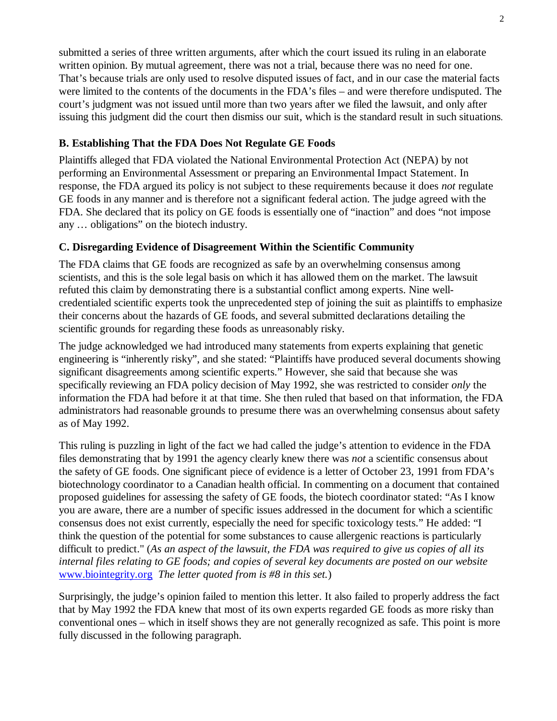submitted a series of three written arguments, after which the court issued its ruling in an elaborate written opinion. By mutual agreement, there was not a trial, because there was no need for one. That's because trials are only used to resolve disputed issues of fact, and in our case the material facts were limited to the contents of the documents in the FDA's files – and were therefore undisputed. The court's judgment was not issued until more than two years after we filed the lawsuit, and only after issuing this judgment did the court then dismiss our suit, which is the standard result in such situations.

## **B. Establishing That the FDA Does Not Regulate GE Foods**

Plaintiffs alleged that FDA violated the National Environmental Protection Act (NEPA) by not performing an Environmental Assessment or preparing an Environmental Impact Statement. In response, the FDA argued its policy is not subject to these requirements because it does *not* regulate GE foods in any manner and is therefore not a significant federal action. The judge agreed with the FDA. She declared that its policy on GE foods is essentially one of "inaction" and does "not impose any … obligations" on the biotech industry.

## **C. Disregarding Evidence of Disagreement Within the Scientific Community**

The FDA claims that GE foods are recognized as safe by an overwhelming consensus among scientists, and this is the sole legal basis on which it has allowed them on the market. The lawsuit refuted this claim by demonstrating there is a substantial conflict among experts. Nine wellcredentialed scientific experts took the unprecedented step of joining the suit as plaintiffs to emphasize their concerns about the hazards of GE foods, and several submitted declarations detailing the scientific grounds for regarding these foods as unreasonably risky.

The judge acknowledged we had introduced many statements from experts explaining that genetic engineering is "inherently risky", and she stated: "Plaintiffs have produced several documents showing significant disagreements among scientific experts." However, she said that because she was specifically reviewing an FDA policy decision of May 1992, she was restricted to consider *only* the information the FDA had before it at that time. She then ruled that based on that information, the FDA administrators had reasonable grounds to presume there was an overwhelming consensus about safety as of May 1992.

This ruling is puzzling in light of the fact we had called the judge's attention to evidence in the FDA files demonstrating that by 1991 the agency clearly knew there was *not* a scientific consensus about the safety of GE foods. One significant piece of evidence is a letter of October 23, 1991 from FDA's biotechnology coordinator to a Canadian health official. In commenting on a document that contained proposed guidelines for assessing the safety of GE foods, the biotech coordinator stated: "As I know you are aware, there are a number of specific issues addressed in the document for which a scientific consensus does not exist currently, especially the need for specific toxicology tests." He added: "I think the question of the potential for some substances to cause allergenic reactions is particularly difficult to predict." (*As an aspect of the lawsuit, the FDA was required to give us copies of all its internal files relating to GE foods; and copies of several key documents are posted on our website* www.biointegrity.org *The letter quoted from is #8 in this set.*)

Surprisingly, the judge's opinion failed to mention this letter. It also failed to properly address the fact that by May 1992 the FDA knew that most of its own experts regarded GE foods as more risky than conventional ones – which in itself shows they are not generally recognized as safe. This point is more fully discussed in the following paragraph.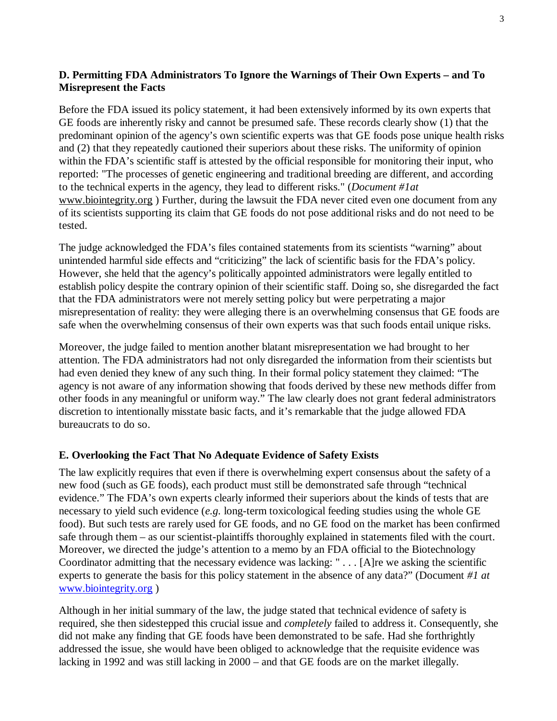# **D. Permitting FDA Administrators To Ignore the Warnings of Their Own Experts – and To Misrepresent the Facts**

Before the FDA issued its policy statement, it had been extensively informed by its own experts that GE foods are inherently risky and cannot be presumed safe. These records clearly show (1) that the predominant opinion of the agency's own scientific experts was that GE foods pose unique health risks and (2) that they repeatedly cautioned their superiors about these risks. The uniformity of opinion within the FDA's scientific staff is attested by the official responsible for monitoring their input, who reported: "The processes of genetic engineering and traditional breeding are different, and according to the technical experts in the agency, they lead to different risks." (*Document #1at* www.biointegrity.org ) Further, during the lawsuit the FDA never cited even one document from any of its scientists supporting its claim that GE foods do not pose additional risks and do not need to be tested.

The judge acknowledged the FDA's files contained statements from its scientists "warning" about unintended harmful side effects and "criticizing" the lack of scientific basis for the FDA's policy. However, she held that the agency's politically appointed administrators were legally entitled to establish policy despite the contrary opinion of their scientific staff. Doing so, she disregarded the fact that the FDA administrators were not merely setting policy but were perpetrating a major misrepresentation of reality: they were alleging there is an overwhelming consensus that GE foods are safe when the overwhelming consensus of their own experts was that such foods entail unique risks.

Moreover, the judge failed to mention another blatant misrepresentation we had brought to her attention. The FDA administrators had not only disregarded the information from their scientists but had even denied they knew of any such thing. In their formal policy statement they claimed: "The agency is not aware of any information showing that foods derived by these new methods differ from other foods in any meaningful or uniform way." The law clearly does not grant federal administrators discretion to intentionally misstate basic facts, and it's remarkable that the judge allowed FDA bureaucrats to do so.

### **E. Overlooking the Fact That No Adequate Evidence of Safety Exists**

The law explicitly requires that even if there is overwhelming expert consensus about the safety of a new food (such as GE foods), each product must still be demonstrated safe through "technical evidence." The FDA's own experts clearly informed their superiors about the kinds of tests that are necessary to yield such evidence (*e.g.* long-term toxicological feeding studies using the whole GE food). But such tests are rarely used for GE foods, and no GE food on the market has been confirmed safe through them – as our scientist-plaintiffs thoroughly explained in statements filed with the court. Moreover, we directed the judge's attention to a memo by an FDA official to the Biotechnology Coordinator admitting that the necessary evidence was lacking: " . . . [A]re we asking the scientific experts to generate the basis for this policy statement in the absence of any data?" (Document *#1 at* www.biointegrity.org )

Although in her initial summary of the law, the judge stated that technical evidence of safety is required, she then sidestepped this crucial issue and *completely* failed to address it. Consequently, she did not make any finding that GE foods have been demonstrated to be safe. Had she forthrightly addressed the issue, she would have been obliged to acknowledge that the requisite evidence was lacking in 1992 and was still lacking in 2000 – and that GE foods are on the market illegally.